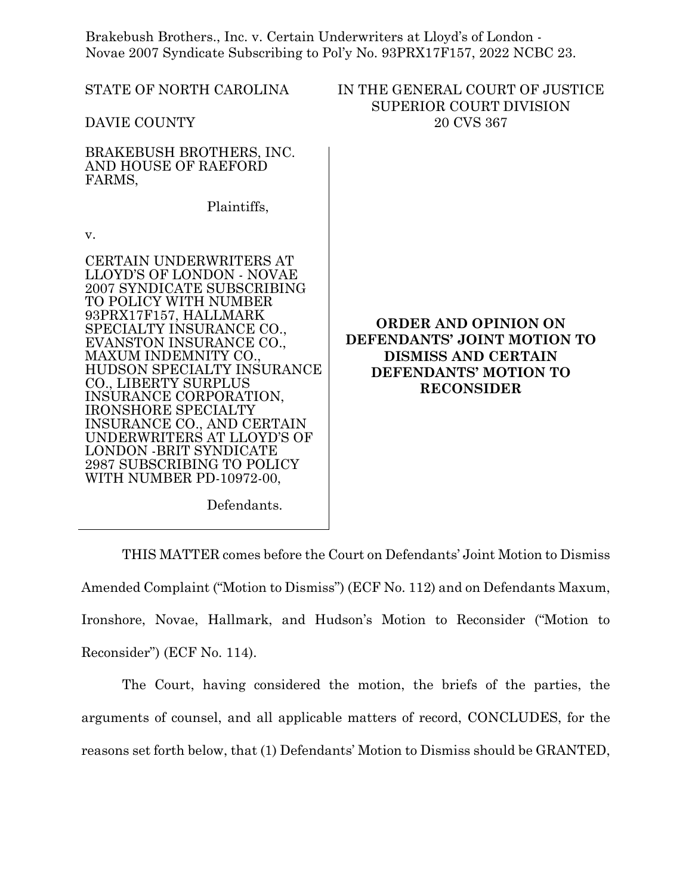Brakebush Brothers., Inc. v. Certain Underwriters at Lloyd's of London - Novae 2007 Syndicate Subscribing to Pol'y No. 93PRX17F157, 2022 NCBC 23.

| STATE OF NORTH CAROLINA                                                                                                                                                                                                                                                                                                                                                                                                                                                                                                                                | IN THE GENERAL COURT OF JUSTICE<br><b>SUPERIOR COURT DIVISION</b>                                                                      |
|--------------------------------------------------------------------------------------------------------------------------------------------------------------------------------------------------------------------------------------------------------------------------------------------------------------------------------------------------------------------------------------------------------------------------------------------------------------------------------------------------------------------------------------------------------|----------------------------------------------------------------------------------------------------------------------------------------|
| DAVIE COUNTY                                                                                                                                                                                                                                                                                                                                                                                                                                                                                                                                           | 20 CVS 367                                                                                                                             |
| BRAKEBUSH BROTHERS, INC.<br>AND HOUSE OF RAEFORD<br>FARMS,                                                                                                                                                                                                                                                                                                                                                                                                                                                                                             |                                                                                                                                        |
| Plaintiffs,                                                                                                                                                                                                                                                                                                                                                                                                                                                                                                                                            |                                                                                                                                        |
| V.                                                                                                                                                                                                                                                                                                                                                                                                                                                                                                                                                     |                                                                                                                                        |
| <b>CERTAIN UNDERWRITERS AT</b><br>LLOYD'S OF LONDON - NOVAE<br>2007 SYNDICATE SUBSCRIBING<br>TO POLICY WITH NUMBER<br>93PRX17F157, HALLMARK<br>SPECIALTY INSURANCE CO.,<br>EVANSTON INSURANCE CO.,<br>MAXUM INDEMNITY CO.,<br>HUDSON SPECIALTY INSURANCE<br>CO., LIBERTY SURPLUS<br>INSURANCE CORPORATION,<br><b>IRONSHORE SPECIALTY</b><br>INSURANCE CO., AND CERTAIN<br>UNDERWRITERS AT LLOYD'S OF<br><b>LONDON -BRIT SYNDICATE</b><br>2987 SUBSCRIBING TO POLICY<br>WITH NUMBER PD-10972-00,<br>$\mathbf{D}$ $\mathbf{C}$ $\mathbf{1}$ $\mathbf{U}$ | <b>ORDER AND OPINION ON</b><br>DEFENDANTS' JOINT MOTION TO<br><b>DISMISS AND CERTAIN</b><br>DEFENDANTS' MOTION TO<br><b>RECONSIDER</b> |

Defendants.

THIS MATTER comes before the Court on Defendants' Joint Motion to Dismiss Amended Complaint ("Motion to Dismiss") (ECF No. 112) and on Defendants Maxum, Ironshore, Novae, Hallmark, and Hudson's Motion to Reconsider ("Motion to Reconsider") (ECF No. 114).

The Court, having considered the motion, the briefs of the parties, the arguments of counsel, and all applicable matters of record, CONCLUDES, for the reasons set forth below, that (1) Defendants' Motion to Dismiss should be GRANTED,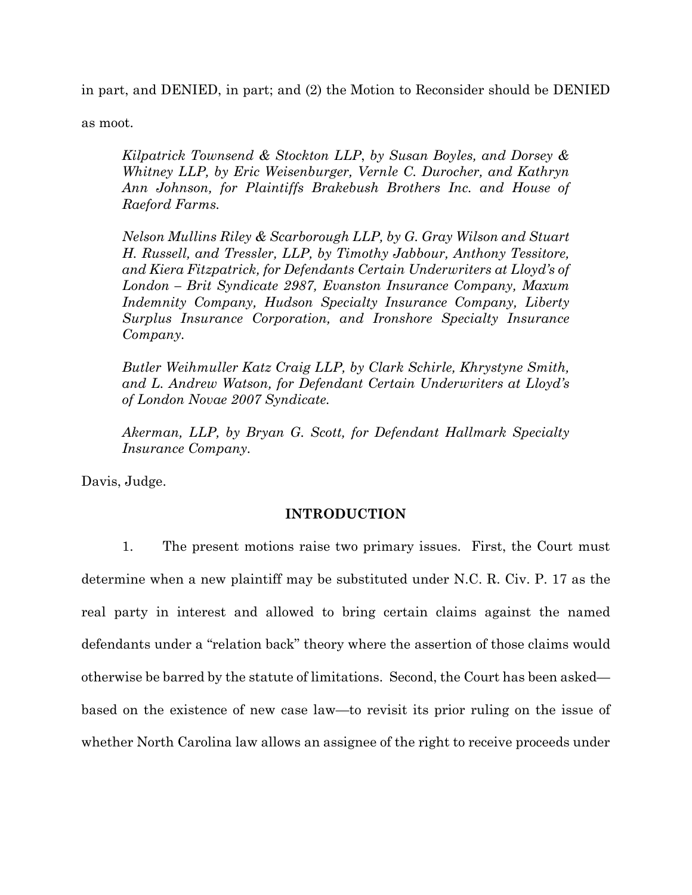in part, and DENIED, in part; and (2) the Motion to Reconsider should be DENIED

as moot.

*Kilpatrick Townsend & Stockton LLP*, *by Susan Boyles, and Dorsey & Whitney LLP, by Eric Weisenburger, Vernle C. Durocher, and Kathryn Ann Johnson, for Plaintiffs Brakebush Brothers Inc. and House of Raeford Farms.*

*Nelson Mullins Riley & Scarborough LLP, by G. Gray Wilson and Stuart H. Russell, and Tressler, LLP, by Timothy Jabbour, Anthony Tessitore, and Kiera Fitzpatrick, for Defendants Certain Underwriters at Lloyd's of London – Brit Syndicate 2987, Evanston Insurance Company, Maxum Indemnity Company, Hudson Specialty Insurance Company, Liberty Surplus Insurance Corporation, and Ironshore Specialty Insurance Company.*

*Butler Weihmuller Katz Craig LLP, by Clark Schirle, Khrystyne Smith, and L. Andrew Watson, for Defendant Certain Underwriters at Lloyd's of London Novae 2007 Syndicate.* 

*Akerman, LLP, by Bryan G. Scott, for Defendant Hallmark Specialty Insurance Company.*

Davis, Judge.

# **INTRODUCTION**

1. The present motions raise two primary issues. First, the Court must determine when a new plaintiff may be substituted under N.C. R. Civ. P. 17 as the real party in interest and allowed to bring certain claims against the named defendants under a "relation back" theory where the assertion of those claims would otherwise be barred by the statute of limitations. Second, the Court has been asked based on the existence of new case law—to revisit its prior ruling on the issue of whether North Carolina law allows an assignee of the right to receive proceeds under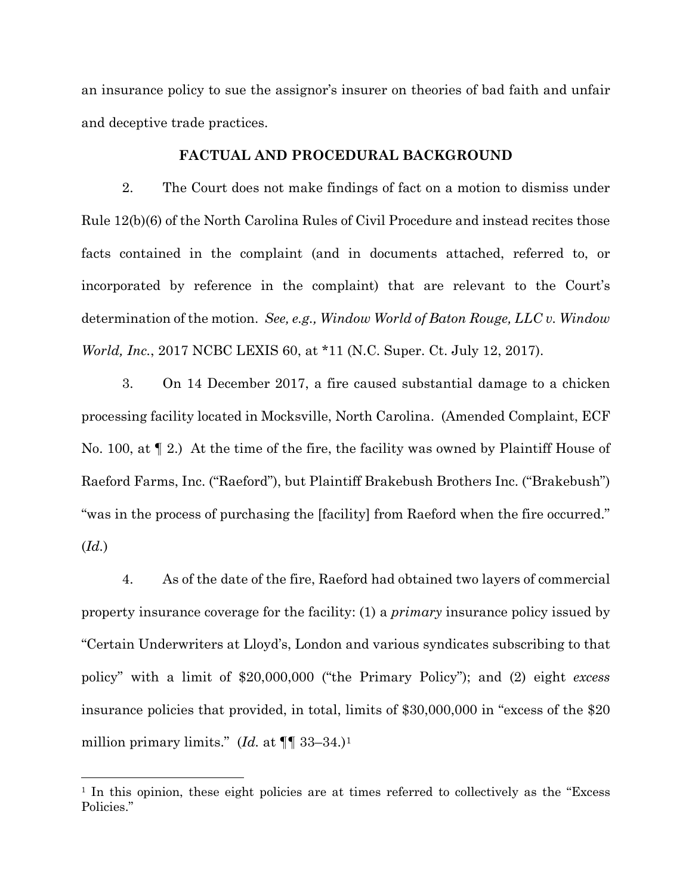an insurance policy to sue the assignor's insurer on theories of bad faith and unfair and deceptive trade practices.

## **FACTUAL AND PROCEDURAL BACKGROUND**

2. The Court does not make findings of fact on a motion to dismiss under Rule 12(b)(6) of the North Carolina Rules of Civil Procedure and instead recites those facts contained in the complaint (and in documents attached, referred to, or incorporated by reference in the complaint) that are relevant to the Court's determination of the motion. *See, e.g., Window World of Baton Rouge, LLC v. Window World, Inc.*, 2017 NCBC LEXIS 60, at \*11 (N.C. Super. Ct. July 12, 2017).

3. On 14 December 2017, a fire caused substantial damage to a chicken processing facility located in Mocksville, North Carolina. (Amended Complaint, ECF No. 100, at ¶ 2.) At the time of the fire, the facility was owned by Plaintiff House of Raeford Farms, Inc. ("Raeford"), but Plaintiff Brakebush Brothers Inc. ("Brakebush") "was in the process of purchasing the [facility] from Raeford when the fire occurred." (*Id.*)

4. As of the date of the fire, Raeford had obtained two layers of commercial property insurance coverage for the facility: (1) a *primary* insurance policy issued by "Certain Underwriters at Lloyd's, London and various syndicates subscribing to that policy" with a limit of \$20,000,000 ("the Primary Policy"); and (2) eight *excess* insurance policies that provided, in total, limits of \$30,000,000 in "excess of the \$20 million primary limits." (*Id.* at  $\P\P$  33–34.)<sup>1</sup>

<span id="page-2-0"></span><sup>&</sup>lt;sup>1</sup> In this opinion, these eight policies are at times referred to collectively as the "Excess" Policies."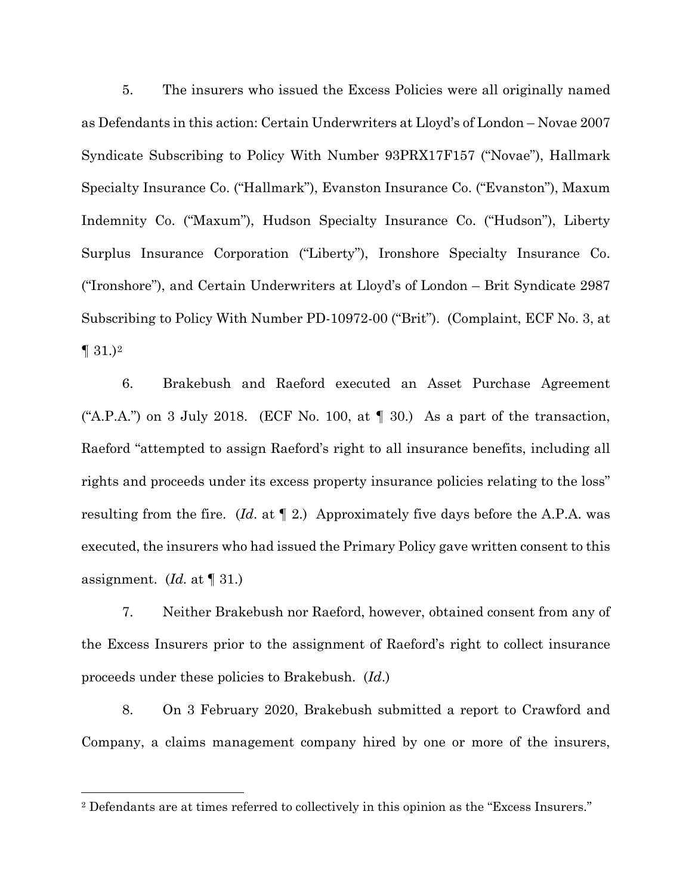5. The insurers who issued the Excess Policies were all originally named as Defendants in this action: Certain Underwriters at Lloyd's of London – Novae 2007 Syndicate Subscribing to Policy With Number 93PRX17F157 ("Novae"), Hallmark Specialty Insurance Co. ("Hallmark"), Evanston Insurance Co. ("Evanston"), Maxum Indemnity Co. ("Maxum"), Hudson Specialty Insurance Co. ("Hudson"), Liberty Surplus Insurance Corporation ("Liberty"), Ironshore Specialty Insurance Co. ("Ironshore"), and Certain Underwriters at Lloyd's of London – Brit Syndicate 2987 Subscribing to Policy With Number PD-10972-00 ("Brit"). (Complaint, ECF No. 3, at  $\P$  31.)<sup>[2](#page-3-0)</sup>

6. Brakebush and Raeford executed an Asset Purchase Agreement ("A.P.A.") on 3 July 2018. (ECF No. 100, at  $\P$  30.) As a part of the transaction, Raeford "attempted to assign Raeford's right to all insurance benefits, including all rights and proceeds under its excess property insurance policies relating to the loss" resulting from the fire. (*Id*. at ¶ 2.) Approximately five days before the A.P.A. was executed, the insurers who had issued the Primary Policy gave written consent to this assignment. (*Id.* at ¶ 31.)

7. Neither Brakebush nor Raeford, however, obtained consent from any of the Excess Insurers prior to the assignment of Raeford's right to collect insurance proceeds under these policies to Brakebush. (*Id*.)

8. On 3 February 2020, Brakebush submitted a report to Crawford and Company, a claims management company hired by one or more of the insurers,

<span id="page-3-0"></span><sup>2</sup> Defendants are at times referred to collectively in this opinion as the "Excess Insurers."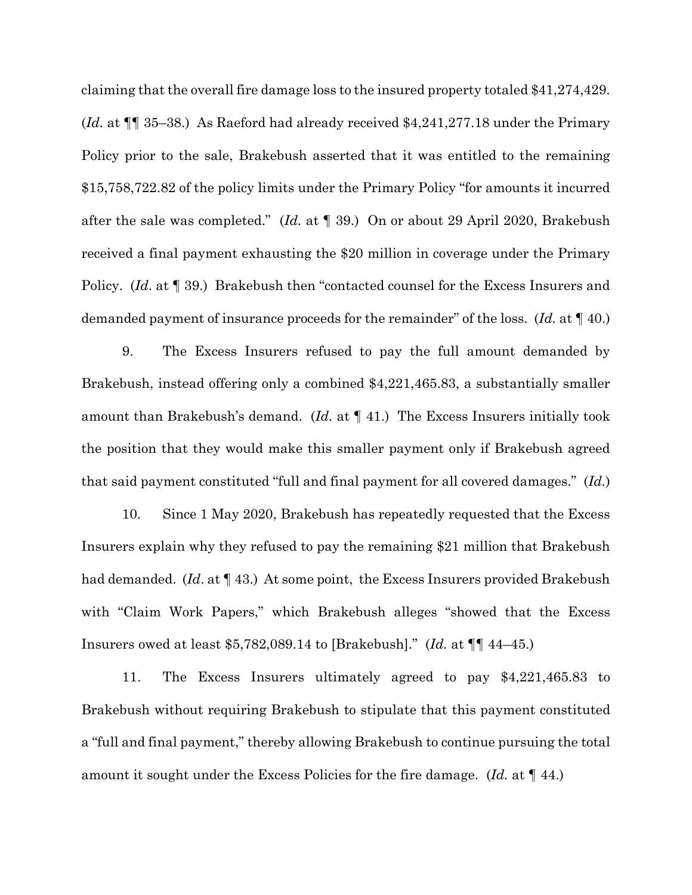claiming that the overall fire damage loss to the insured property totaled \$41,274,429. (*Id.* at ¶¶ 35–38.) As Raeford had already received \$4,241,277.18 under the Primary Policy prior to the sale, Brakebush asserted that it was entitled to the remaining \$15,758,722.82 of the policy limits under the Primary Policy "for amounts it incurred after the sale was completed." (*Id.* at ¶ 39.) On or about 29 April 2020, Brakebush received a final payment exhausting the \$20 million in coverage under the Primary Policy. (*Id*. at ¶ 39.) Brakebush then "contacted counsel for the Excess Insurers and demanded payment of insurance proceeds for the remainder" of the loss. (*Id.* at ¶ 40.)

9. The Excess Insurers refused to pay the full amount demanded by Brakebush, instead offering only a combined \$4,221,465.83, a substantially smaller amount than Brakebush's demand. (*Id.* at ¶ 41.) The Excess Insurers initially took the position that they would make this smaller payment only if Brakebush agreed that said payment constituted "full and final payment for all covered damages." (*Id.*)

10. Since 1 May 2020, Brakebush has repeatedly requested that the Excess Insurers explain why they refused to pay the remaining \$21 million that Brakebush had demanded. (*Id*. at ¶ 43.) At some point, the Excess Insurers provided Brakebush with "Claim Work Papers," which Brakebush alleges "showed that the Excess Insurers owed at least \$5,782,089.14 to [Brakebush]." (*Id.* at ¶¶ 44–45.)

11. The Excess Insurers ultimately agreed to pay \$4,221,465.83 to Brakebush without requiring Brakebush to stipulate that this payment constituted a "full and final payment," thereby allowing Brakebush to continue pursuing the total amount it sought under the Excess Policies for the fire damage. (*Id.* at ¶ 44.)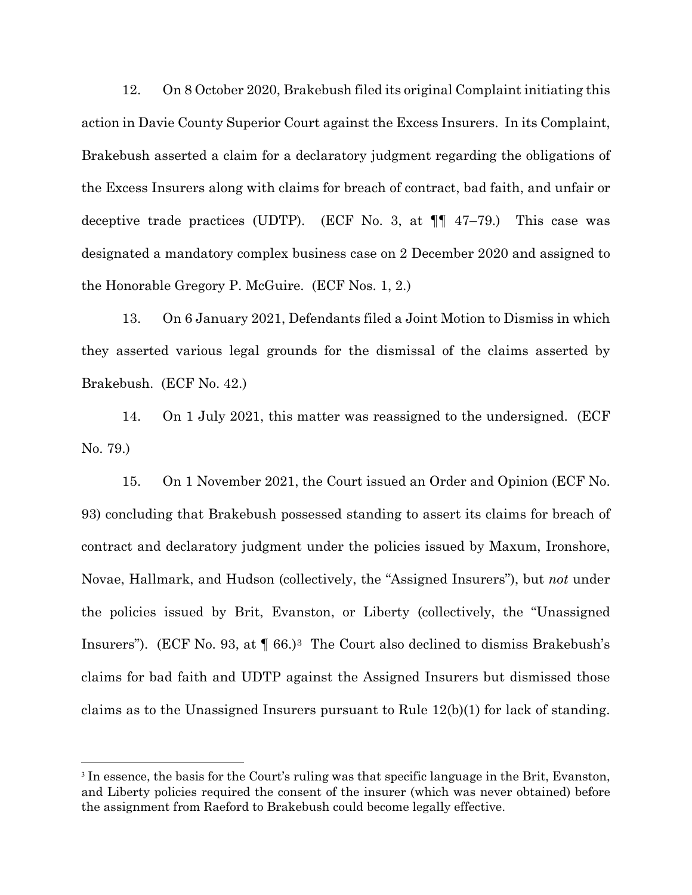12. On 8 October 2020, Brakebush filed its original Complaint initiating this action in Davie County Superior Court against the Excess Insurers. In its Complaint, Brakebush asserted a claim for a declaratory judgment regarding the obligations of the Excess Insurers along with claims for breach of contract, bad faith, and unfair or deceptive trade practices (UDTP). (ECF No. 3, at  $\P$  47–79.) This case was designated a mandatory complex business case on 2 December 2020 and assigned to the Honorable Gregory P. McGuire. (ECF Nos. 1, 2.)

13. On 6 January 2021, Defendants filed a Joint Motion to Dismiss in which they asserted various legal grounds for the dismissal of the claims asserted by Brakebush. (ECF No. 42.)

14. On 1 July 2021, this matter was reassigned to the undersigned. (ECF No. 79.)

15. On 1 November 2021, the Court issued an Order and Opinion (ECF No. 93) concluding that Brakebush possessed standing to assert its claims for breach of contract and declaratory judgment under the policies issued by Maxum, Ironshore, Novae, Hallmark, and Hudson (collectively, the "Assigned Insurers"), but *not* under the policies issued by Brit, Evanston, or Liberty (collectively, the "Unassigned Insurers"). (ECF No. 93, at ¶ 66.)[3](#page-5-0) The Court also declined to dismiss Brakebush's claims for bad faith and UDTP against the Assigned Insurers but dismissed those claims as to the Unassigned Insurers pursuant to Rule 12(b)(1) for lack of standing.

<span id="page-5-0"></span><sup>&</sup>lt;sup>3</sup> In essence, the basis for the Court's ruling was that specific language in the Brit, Evanston, and Liberty policies required the consent of the insurer (which was never obtained) before the assignment from Raeford to Brakebush could become legally effective.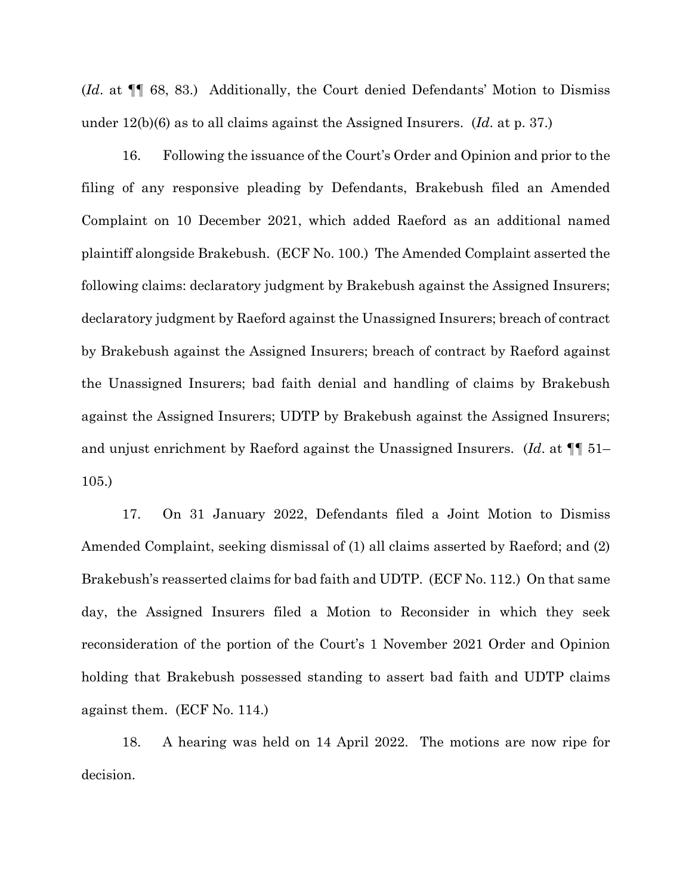(*Id*. at ¶¶ 68, 83.) Additionally, the Court denied Defendants' Motion to Dismiss under 12(b)(6) as to all claims against the Assigned Insurers. (*Id*. at p. 37.)

16. Following the issuance of the Court's Order and Opinion and prior to the filing of any responsive pleading by Defendants, Brakebush filed an Amended Complaint on 10 December 2021, which added Raeford as an additional named plaintiff alongside Brakebush. (ECF No. 100.) The Amended Complaint asserted the following claims: declaratory judgment by Brakebush against the Assigned Insurers; declaratory judgment by Raeford against the Unassigned Insurers; breach of contract by Brakebush against the Assigned Insurers; breach of contract by Raeford against the Unassigned Insurers; bad faith denial and handling of claims by Brakebush against the Assigned Insurers; UDTP by Brakebush against the Assigned Insurers; and unjust enrichment by Raeford against the Unassigned Insurers. (*Id*. at ¶¶ 51– 105.)

17. On 31 January 2022, Defendants filed a Joint Motion to Dismiss Amended Complaint, seeking dismissal of (1) all claims asserted by Raeford; and (2) Brakebush's reasserted claims for bad faith and UDTP. (ECF No. 112.) On that same day, the Assigned Insurers filed a Motion to Reconsider in which they seek reconsideration of the portion of the Court's 1 November 2021 Order and Opinion holding that Brakebush possessed standing to assert bad faith and UDTP claims against them. (ECF No. 114.)

18. A hearing was held on 14 April 2022. The motions are now ripe for decision.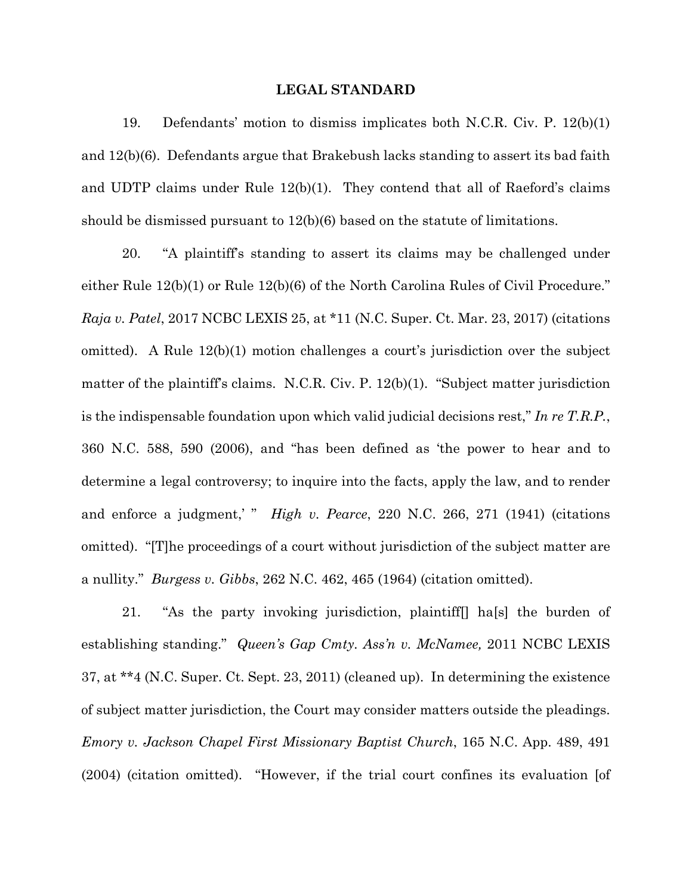#### **LEGAL STANDARD**

19. Defendants' motion to dismiss implicates both N.C.R. Civ. P. 12(b)(1) and 12(b)(6). Defendants argue that Brakebush lacks standing to assert its bad faith and UDTP claims under Rule 12(b)(1). They contend that all of Raeford's claims should be dismissed pursuant to 12(b)(6) based on the statute of limitations.

20. "A plaintiff's standing to assert its claims may be challenged under either Rule 12(b)(1) or Rule 12(b)(6) of the North Carolina Rules of Civil Procedure." *Raja v. Patel*, 2017 NCBC LEXIS 25, at \*11 (N.C. Super. Ct. Mar. 23, 2017) (citations omitted). A Rule 12(b)(1) motion challenges a court's jurisdiction over the subject matter of the plaintiff's claims. N.C.R. Civ. P. 12(b)(1). "Subject matter jurisdiction is the indispensable foundation upon which valid judicial decisions rest," *In re T.R.P.*, 360 N.C. 588, 590 (2006), and "has been defined as 'the power to hear and to determine a legal controversy; to inquire into the facts, apply the law, and to render and enforce a judgment,' " *High v. Pearce*, 220 N.C. 266, 271 (1941) (citations omitted). "[T]he proceedings of a court without jurisdiction of the subject matter are a nullity." *Burgess v. Gibbs*, 262 N.C. 462, 465 (1964) (citation omitted).

21. "As the party invoking jurisdiction, plaintiff[] ha[s] the burden of establishing standing." *Queen's Gap Cmty. Ass'n v. McNamee,* 2011 NCBC LEXIS 37, at \*\*4 (N.C. Super. Ct. Sept. 23, 2011) (cleaned up). In determining the existence of subject matter jurisdiction, the Court may consider matters outside the pleadings. *Emory v. Jackson Chapel First Missionary Baptist Church*, 165 N.C. App. 489, 491 (2004) (citation omitted). "However, if the trial court confines its evaluation [of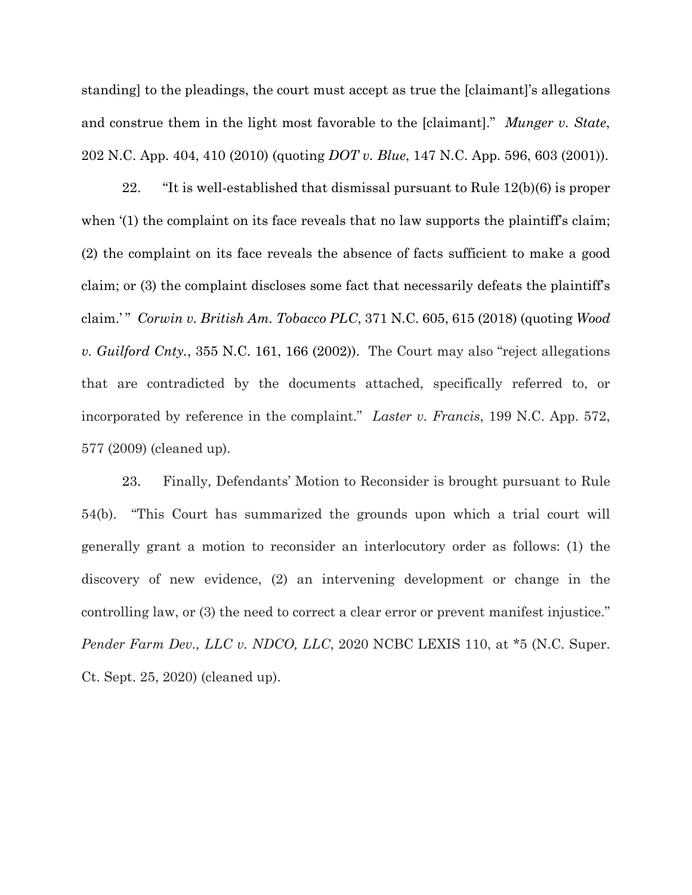standing] to the pleadings, the court must accept as true the [claimant]'s allegations and construe them in the light most favorable to the [claimant]." *Munger v. State*, 202 N.C. App. 404, 410 (2010) (quoting *DOT v. Blue*, 147 N.C. App. 596, 603 (2001)).

22. "It is well-established that dismissal pursuant to Rule 12(b)(6) is proper when '(1) the complaint on its face reveals that no law supports the plaintiff's claim; (2) the complaint on its face reveals the absence of facts sufficient to make a good claim; or (3) the complaint discloses some fact that necessarily defeats the plaintiff's claim.' " *Corwin v. British Am. Tobacco PLC*, 371 N.C. 605, 615 (2018) (quoting *Wood v. Guilford Cnty.*, 355 N.C. 161, 166 (2002)). The Court may also "reject allegations that are contradicted by the documents attached, specifically referred to, or incorporated by reference in the complaint." *Laster v. Francis*, 199 N.C. App. 572, 577 (2009) (cleaned up).

23. Finally, Defendants' Motion to Reconsider is brought pursuant to Rule 54(b). "This Court has summarized the grounds upon which a trial court will generally grant a motion to reconsider an interlocutory order as follows: (1) the discovery of new evidence, (2) an intervening development or change in the controlling law, or (3) the need to correct a clear error or prevent manifest injustice." *Pender Farm Dev., LLC v. NDCO, LLC*, 2020 NCBC LEXIS 110, at \*5 (N.C. Super. Ct. Sept. 25, 2020) (cleaned up).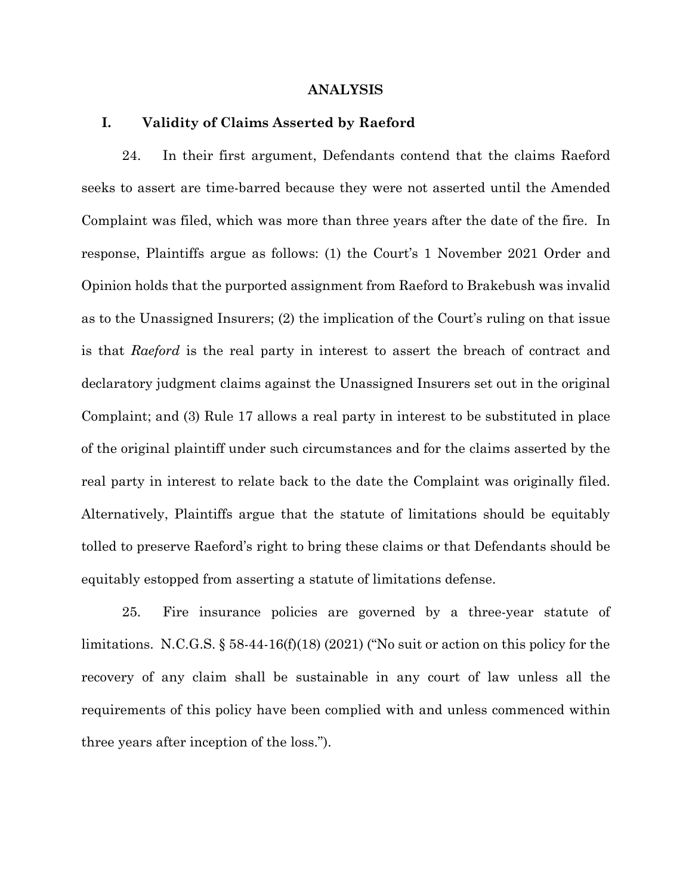#### **ANALYSIS**

### **I. Validity of Claims Asserted by Raeford**

24. In their first argument, Defendants contend that the claims Raeford seeks to assert are time-barred because they were not asserted until the Amended Complaint was filed, which was more than three years after the date of the fire. In response, Plaintiffs argue as follows: (1) the Court's 1 November 2021 Order and Opinion holds that the purported assignment from Raeford to Brakebush was invalid as to the Unassigned Insurers; (2) the implication of the Court's ruling on that issue is that *Raeford* is the real party in interest to assert the breach of contract and declaratory judgment claims against the Unassigned Insurers set out in the original Complaint; and (3) Rule 17 allows a real party in interest to be substituted in place of the original plaintiff under such circumstances and for the claims asserted by the real party in interest to relate back to the date the Complaint was originally filed. Alternatively, Plaintiffs argue that the statute of limitations should be equitably tolled to preserve Raeford's right to bring these claims or that Defendants should be equitably estopped from asserting a statute of limitations defense.

25. Fire insurance policies are governed by a three-year statute of limitations. N.C.G.S.  $\S 58-44-16(f)(18)(2021)$  ("No suit or action on this policy for the recovery of any claim shall be sustainable in any court of law unless all the requirements of this policy have been complied with and unless commenced within three years after inception of the loss.").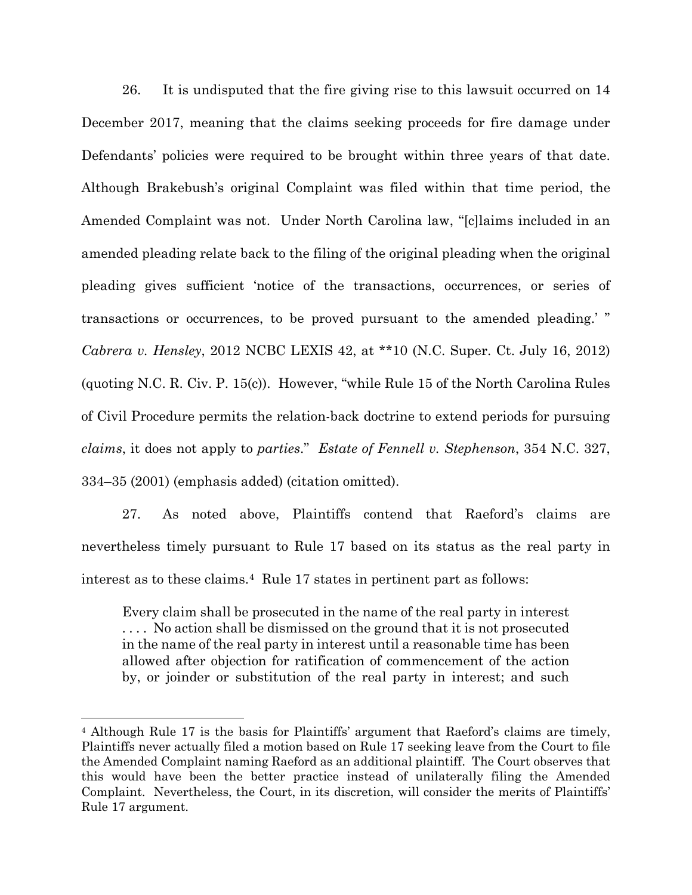26. It is undisputed that the fire giving rise to this lawsuit occurred on 14 December 2017, meaning that the claims seeking proceeds for fire damage under Defendants' policies were required to be brought within three years of that date. Although Brakebush's original Complaint was filed within that time period, the Amended Complaint was not. Under North Carolina law, "[c]laims included in an amended pleading relate back to the filing of the original pleading when the original pleading gives sufficient 'notice of the transactions, occurrences, or series of transactions or occurrences, to be proved pursuant to the amended pleading.' " *Cabrera v. Hensley*, 2012 NCBC LEXIS 42, at \*\*10 (N.C. Super. Ct. July 16, 2012) (quoting N.C. R. Civ. P. 15(c)). However, "while Rule 15 of the North Carolina Rules of Civil Procedure permits the relation-back doctrine to extend periods for pursuing *claims*, it does not apply to *parties*." *Estate of Fennell v. Stephenson*, 354 N.C. 327, 334–35 (2001) (emphasis added) (citation omitted).

27. As noted above, Plaintiffs contend that Raeford's claims are nevertheless timely pursuant to Rule 17 based on its status as the real party in interest as to these claims.[4](#page-10-0) Rule 17 states in pertinent part as follows:

Every claim shall be prosecuted in the name of the real party in interest . . . . No action shall be dismissed on the ground that it is not prosecuted in the name of the real party in interest until a reasonable time has been allowed after objection for ratification of commencement of the action by, or joinder or substitution of the real party in interest; and such

<span id="page-10-0"></span><sup>4</sup> Although Rule 17 is the basis for Plaintiffs' argument that Raeford's claims are timely, Plaintiffs never actually filed a motion based on Rule 17 seeking leave from the Court to file the Amended Complaint naming Raeford as an additional plaintiff. The Court observes that this would have been the better practice instead of unilaterally filing the Amended Complaint. Nevertheless, the Court, in its discretion, will consider the merits of Plaintiffs' Rule 17 argument.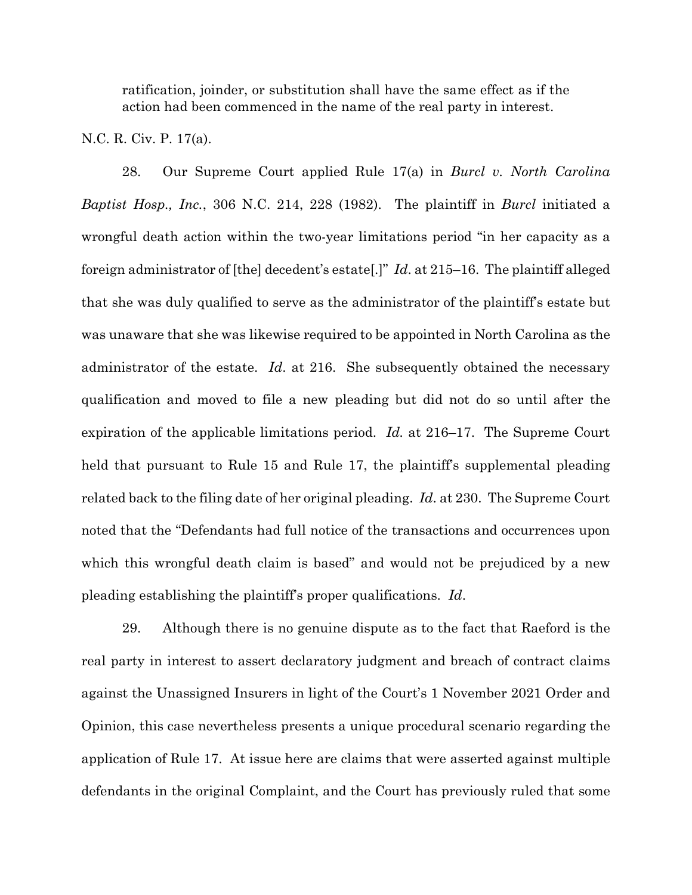ratification, joinder, or substitution shall have the same effect as if the action had been commenced in the name of the real party in interest.

### N.C. R. Civ. P. 17(a).

28. Our Supreme Court applied Rule 17(a) in *Burcl v. North Carolina Baptist Hosp., Inc.*, 306 N.C. 214, 228 (1982). The plaintiff in *Burcl* initiated a wrongful death action within the two-year limitations period "in her capacity as a foreign administrator of [the] decedent's estate[.]" *Id*. at 215–16. The plaintiff alleged that she was duly qualified to serve as the administrator of the plaintiff's estate but was unaware that she was likewise required to be appointed in North Carolina as the administrator of the estate. *Id*. at 216. She subsequently obtained the necessary qualification and moved to file a new pleading but did not do so until after the expiration of the applicable limitations period. *Id.* at 216–17. The Supreme Court held that pursuant to Rule 15 and Rule 17, the plaintiff's supplemental pleading related back to the filing date of her original pleading. *Id*. at 230. The Supreme Court noted that the "Defendants had full notice of the transactions and occurrences upon which this wrongful death claim is based" and would not be prejudiced by a new pleading establishing the plaintiff's proper qualifications. *Id*.

29. Although there is no genuine dispute as to the fact that Raeford is the real party in interest to assert declaratory judgment and breach of contract claims against the Unassigned Insurers in light of the Court's 1 November 2021 Order and Opinion, this case nevertheless presents a unique procedural scenario regarding the application of Rule 17. At issue here are claims that were asserted against multiple defendants in the original Complaint, and the Court has previously ruled that some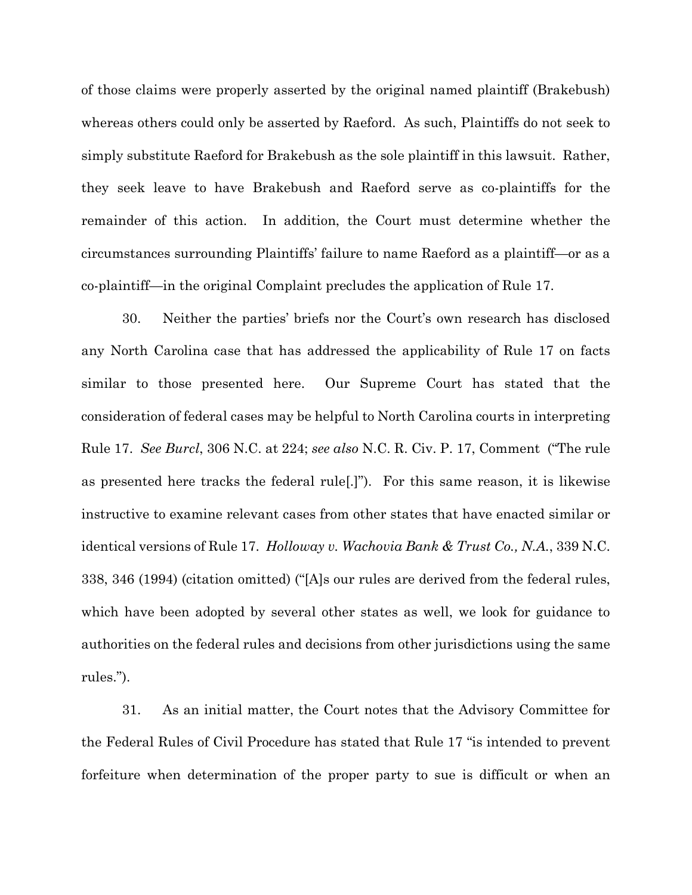of those claims were properly asserted by the original named plaintiff (Brakebush) whereas others could only be asserted by Raeford. As such, Plaintiffs do not seek to simply substitute Raeford for Brakebush as the sole plaintiff in this lawsuit. Rather, they seek leave to have Brakebush and Raeford serve as co-plaintiffs for the remainder of this action. In addition, the Court must determine whether the circumstances surrounding Plaintiffs' failure to name Raeford as a plaintiff—or as a co-plaintiff—in the original Complaint precludes the application of Rule 17.

30. Neither the parties' briefs nor the Court's own research has disclosed any North Carolina case that has addressed the applicability of Rule 17 on facts similar to those presented here. Our Supreme Court has stated that the consideration of federal cases may be helpful to North Carolina courts in interpreting Rule 17. *See Burcl*, 306 N.C. at 224; *see also* N.C. R. Civ. P. 17, Comment ("The rule as presented here tracks the federal rule[.]"). For this same reason, it is likewise instructive to examine relevant cases from other states that have enacted similar or identical versions of Rule 17. *Holloway v. Wachovia Bank & Trust Co., N.A.*, 339 N.C. 338, 346 (1994) (citation omitted) ("[A]s our rules are derived from the federal rules, which have been adopted by several other states as well, we look for guidance to authorities on the federal rules and decisions from other jurisdictions using the same rules.").

31. As an initial matter, the Court notes that the Advisory Committee for the Federal Rules of Civil Procedure has stated that Rule 17 "is intended to prevent forfeiture when determination of the proper party to sue is difficult or when an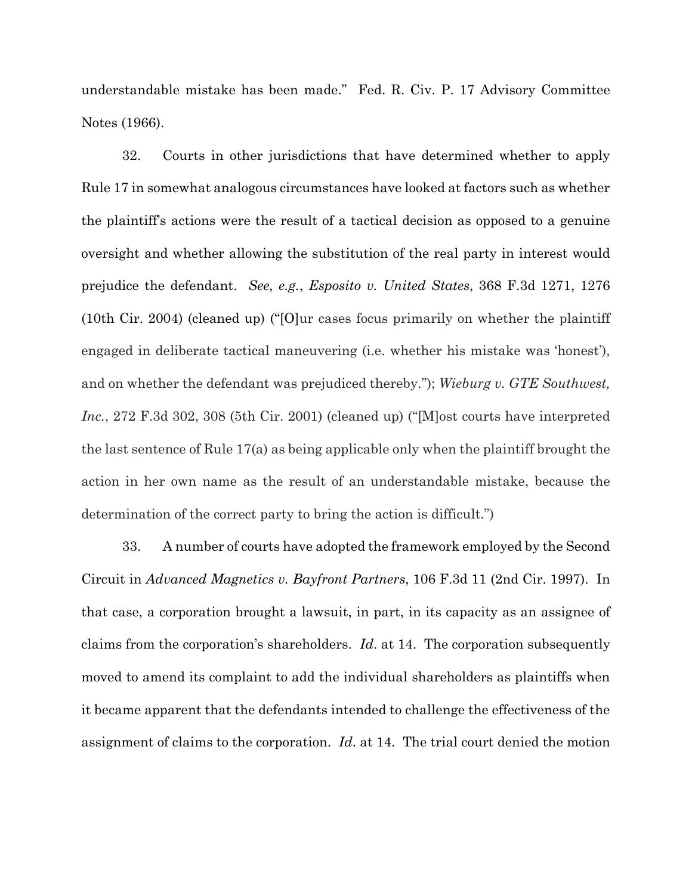understandable mistake has been made." Fed. R. Civ. P. 17 Advisory Committee Notes (1966).

32. Courts in other jurisdictions that have determined whether to apply Rule 17 in somewhat analogous circumstances have looked at factors such as whether the plaintiff's actions were the result of a tactical decision as opposed to a genuine oversight and whether allowing the substitution of the real party in interest would prejudice the defendant. *See*, *e.g.*, *Esposito v. United States*, 368 F.3d 1271, 1276 (10th Cir. 2004) (cleaned up) ("[O]ur cases focus primarily on whether the plaintiff engaged in deliberate tactical maneuvering (i.e. whether his mistake was 'honest'), and on whether the defendant was prejudiced thereby."); *Wieburg v. GTE Southwest, Inc.*, 272 F.3d 302, 308 (5th Cir. 2001) (cleaned up) ("Most courts have interpreted the last sentence of Rule 17(a) as being applicable only when the plaintiff brought the action in her own name as the result of an understandable mistake, because the determination of the correct party to bring the action is difficult.")

33. A number of courts have adopted the framework employed by the Second Circuit in *Advanced Magnetics v. Bayfront Partners*, 106 F.3d 11 (2nd Cir. 1997). In that case, a corporation brought a lawsuit, in part, in its capacity as an assignee of claims from the corporation's shareholders. *Id*. at 14. The corporation subsequently moved to amend its complaint to add the individual shareholders as plaintiffs when it became apparent that the defendants intended to challenge the effectiveness of the assignment of claims to the corporation. *Id*. at 14. The trial court denied the motion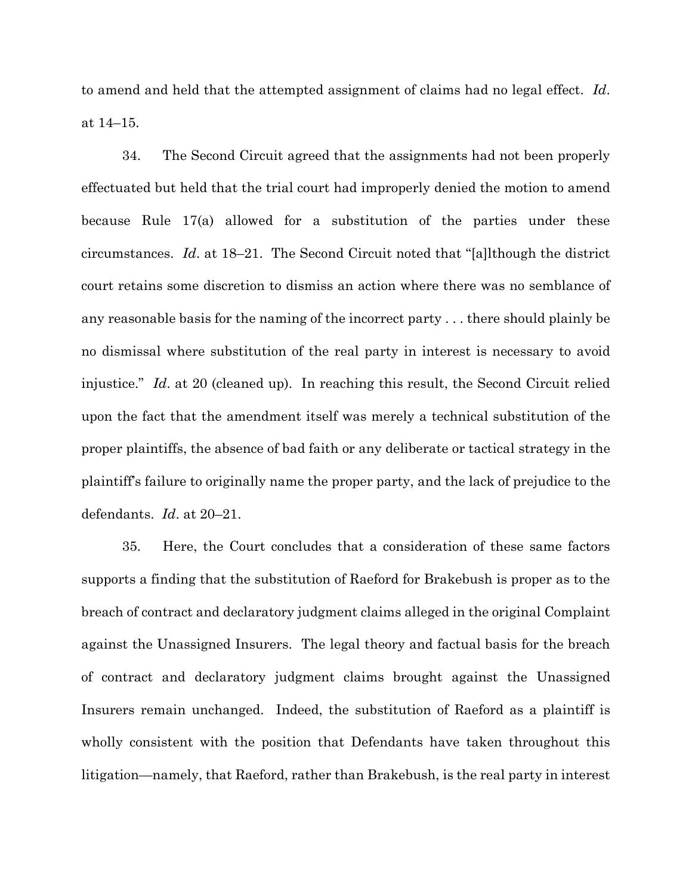to amend and held that the attempted assignment of claims had no legal effect. *Id*. at 14–15.

34. The Second Circuit agreed that the assignments had not been properly effectuated but held that the trial court had improperly denied the motion to amend because Rule 17(a) allowed for a substitution of the parties under these circumstances. *Id*. at 18–21. The Second Circuit noted that "[a]lthough the district court retains some discretion to dismiss an action where there was no semblance of any reasonable basis for the naming of the incorrect party . . . there should plainly be no dismissal where substitution of the real party in interest is necessary to avoid injustice." *Id*. at 20 (cleaned up). In reaching this result, the Second Circuit relied upon the fact that the amendment itself was merely a technical substitution of the proper plaintiffs, the absence of bad faith or any deliberate or tactical strategy in the plaintiff's failure to originally name the proper party, and the lack of prejudice to the defendants. *Id*. at 20–21.

35. Here, the Court concludes that a consideration of these same factors supports a finding that the substitution of Raeford for Brakebush is proper as to the breach of contract and declaratory judgment claims alleged in the original Complaint against the Unassigned Insurers. The legal theory and factual basis for the breach of contract and declaratory judgment claims brought against the Unassigned Insurers remain unchanged. Indeed, the substitution of Raeford as a plaintiff is wholly consistent with the position that Defendants have taken throughout this litigation—namely, that Raeford, rather than Brakebush, is the real party in interest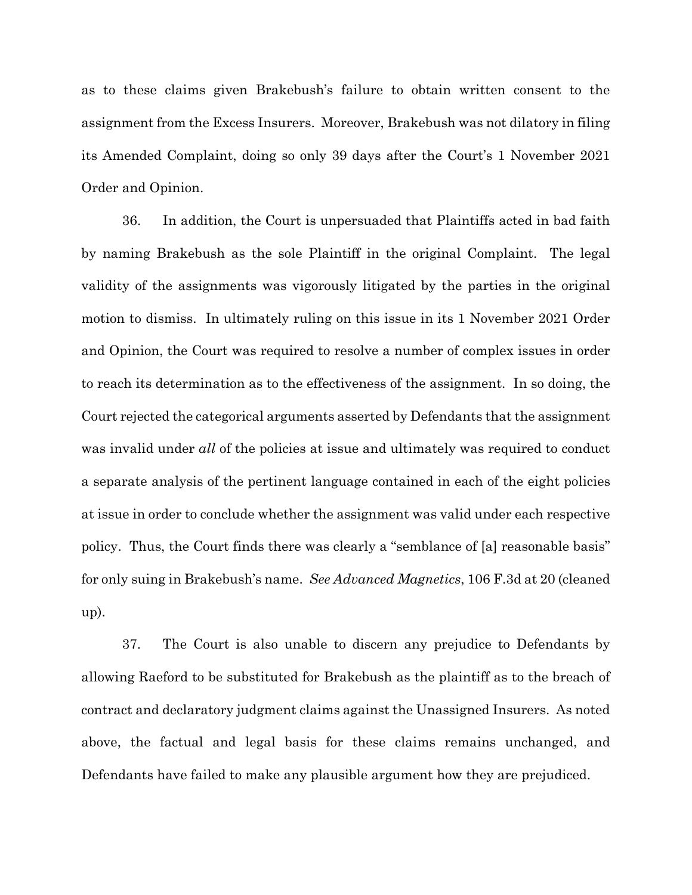as to these claims given Brakebush's failure to obtain written consent to the assignment from the Excess Insurers. Moreover, Brakebush was not dilatory in filing its Amended Complaint, doing so only 39 days after the Court's 1 November 2021 Order and Opinion.

36. In addition, the Court is unpersuaded that Plaintiffs acted in bad faith by naming Brakebush as the sole Plaintiff in the original Complaint. The legal validity of the assignments was vigorously litigated by the parties in the original motion to dismiss. In ultimately ruling on this issue in its 1 November 2021 Order and Opinion, the Court was required to resolve a number of complex issues in order to reach its determination as to the effectiveness of the assignment. In so doing, the Court rejected the categorical arguments asserted by Defendants that the assignment was invalid under *all* of the policies at issue and ultimately was required to conduct a separate analysis of the pertinent language contained in each of the eight policies at issue in order to conclude whether the assignment was valid under each respective policy. Thus, the Court finds there was clearly a "semblance of [a] reasonable basis" for only suing in Brakebush's name.*See Advanced Magnetics*, 106 F.3d at 20 (cleaned up).

37. The Court is also unable to discern any prejudice to Defendants by allowing Raeford to be substituted for Brakebush as the plaintiff as to the breach of contract and declaratory judgment claims against the Unassigned Insurers. As noted above, the factual and legal basis for these claims remains unchanged, and Defendants have failed to make any plausible argument how they are prejudiced.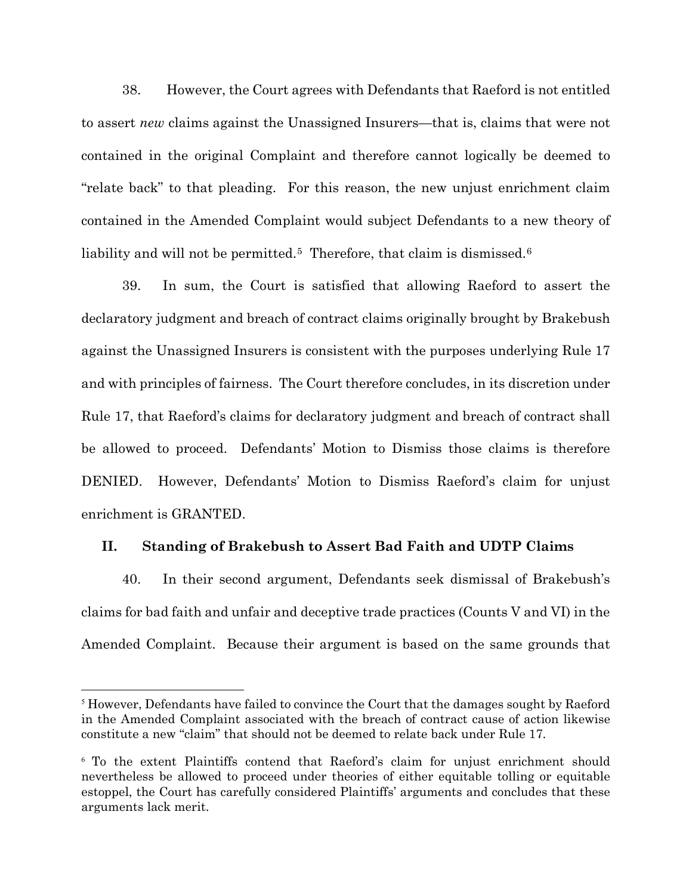38. However, the Court agrees with Defendants that Raeford is not entitled to assert *new* claims against the Unassigned Insurers—that is, claims that were not contained in the original Complaint and therefore cannot logically be deemed to "relate back" to that pleading. For this reason, the new unjust enrichment claim contained in the Amended Complaint would subject Defendants to a new theory of liability and will not be permitted.<sup>5</sup> Therefore, that claim is dismissed.<sup>[6](#page-16-1)</sup>

39. In sum, the Court is satisfied that allowing Raeford to assert the declaratory judgment and breach of contract claims originally brought by Brakebush against the Unassigned Insurers is consistent with the purposes underlying Rule 17 and with principles of fairness. The Court therefore concludes, in its discretion under Rule 17, that Raeford's claims for declaratory judgment and breach of contract shall be allowed to proceed. Defendants' Motion to Dismiss those claims is therefore DENIED. However, Defendants' Motion to Dismiss Raeford's claim for unjust enrichment is GRANTED.

# **II. Standing of Brakebush to Assert Bad Faith and UDTP Claims**

40. In their second argument, Defendants seek dismissal of Brakebush's claims for bad faith and unfair and deceptive trade practices (Counts V and VI) in the Amended Complaint. Because their argument is based on the same grounds that

<span id="page-16-0"></span><sup>&</sup>lt;sup>5</sup> However, Defendants have failed to convince the Court that the damages sought by Raeford in the Amended Complaint associated with the breach of contract cause of action likewise constitute a new "claim" that should not be deemed to relate back under Rule 17.

<span id="page-16-1"></span><sup>6</sup> To the extent Plaintiffs contend that Raeford's claim for unjust enrichment should nevertheless be allowed to proceed under theories of either equitable tolling or equitable estoppel, the Court has carefully considered Plaintiffs' arguments and concludes that these arguments lack merit.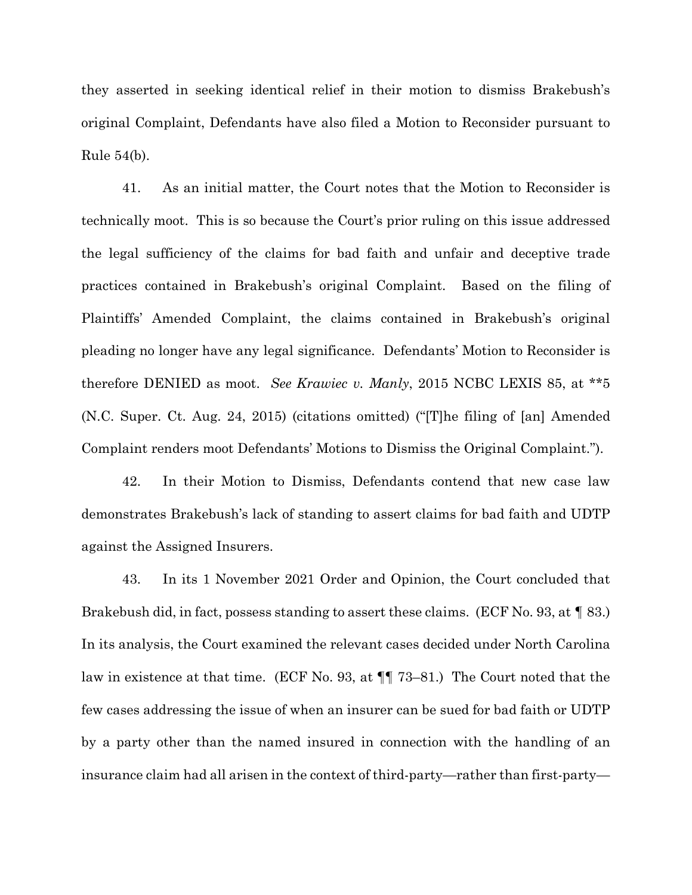they asserted in seeking identical relief in their motion to dismiss Brakebush's original Complaint, Defendants have also filed a Motion to Reconsider pursuant to Rule 54(b).

41. As an initial matter, the Court notes that the Motion to Reconsider is technically moot. This is so because the Court's prior ruling on this issue addressed the legal sufficiency of the claims for bad faith and unfair and deceptive trade practices contained in Brakebush's original Complaint. Based on the filing of Plaintiffs' Amended Complaint, the claims contained in Brakebush's original pleading no longer have any legal significance. Defendants' Motion to Reconsider is therefore DENIED as moot. *See Krawiec v. Manly*, 2015 NCBC LEXIS 85, at \*\*5 (N.C. Super. Ct. Aug. 24, 2015) (citations omitted) ("[T]he filing of [an] Amended Complaint renders moot Defendants' Motions to Dismiss the Original Complaint.").

42. In their Motion to Dismiss, Defendants contend that new case law demonstrates Brakebush's lack of standing to assert claims for bad faith and UDTP against the Assigned Insurers.

43. In its 1 November 2021 Order and Opinion, the Court concluded that Brakebush did, in fact, possess standing to assert these claims. (ECF No. 93, at ¶ 83.) In its analysis, the Court examined the relevant cases decided under North Carolina law in existence at that time. (ECF No. 93, at ¶¶ 73–81.) The Court noted that the few cases addressing the issue of when an insurer can be sued for bad faith or UDTP by a party other than the named insured in connection with the handling of an insurance claim had all arisen in the context of third-party—rather than first-party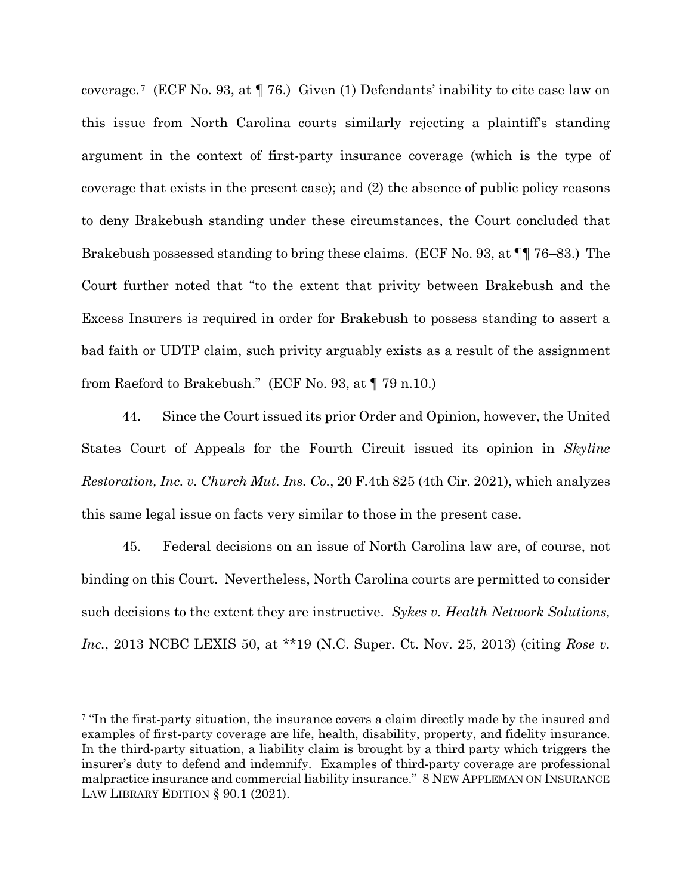coverage.[7](#page-18-0) (ECF No. 93, at ¶ 76.) Given (1) Defendants' inability to cite case law on this issue from North Carolina courts similarly rejecting a plaintiff's standing argument in the context of first-party insurance coverage (which is the type of coverage that exists in the present case); and (2) the absence of public policy reasons to deny Brakebush standing under these circumstances, the Court concluded that Brakebush possessed standing to bring these claims. (ECF No. 93, at ¶¶ 76–83.) The Court further noted that "to the extent that privity between Brakebush and the Excess Insurers is required in order for Brakebush to possess standing to assert a bad faith or UDTP claim, such privity arguably exists as a result of the assignment from Raeford to Brakebush." (ECF No. 93, at ¶ 79 n.10.)

44. Since the Court issued its prior Order and Opinion, however, the United States Court of Appeals for the Fourth Circuit issued its opinion in *Skyline Restoration, Inc. v. Church Mut. Ins. Co.*, 20 F.4th 825 (4th Cir. 2021), which analyzes this same legal issue on facts very similar to those in the present case.

45. Federal decisions on an issue of North Carolina law are, of course, not binding on this Court. Nevertheless, North Carolina courts are permitted to consider such decisions to the extent they are instructive. *Sykes v. Health Network Solutions, Inc.*, 2013 NCBC LEXIS 50, at \*\*19 (N.C. Super. Ct. Nov. 25, 2013) (citing *Rose v.* 

<span id="page-18-0"></span><sup>&</sup>lt;sup>7</sup> "In the first-party situation, the insurance covers a claim directly made by the insured and examples of first-party coverage are life, health, disability, property, and fidelity insurance. In the third-party situation, a liability claim is brought by a third party which triggers the insurer's duty to defend and indemnify. Examples of third-party coverage are professional malpractice insurance and commercial liability insurance." 8 NEW APPLEMAN ON INSURANCE LAW LIBRARY EDITION § 90.1 (2021).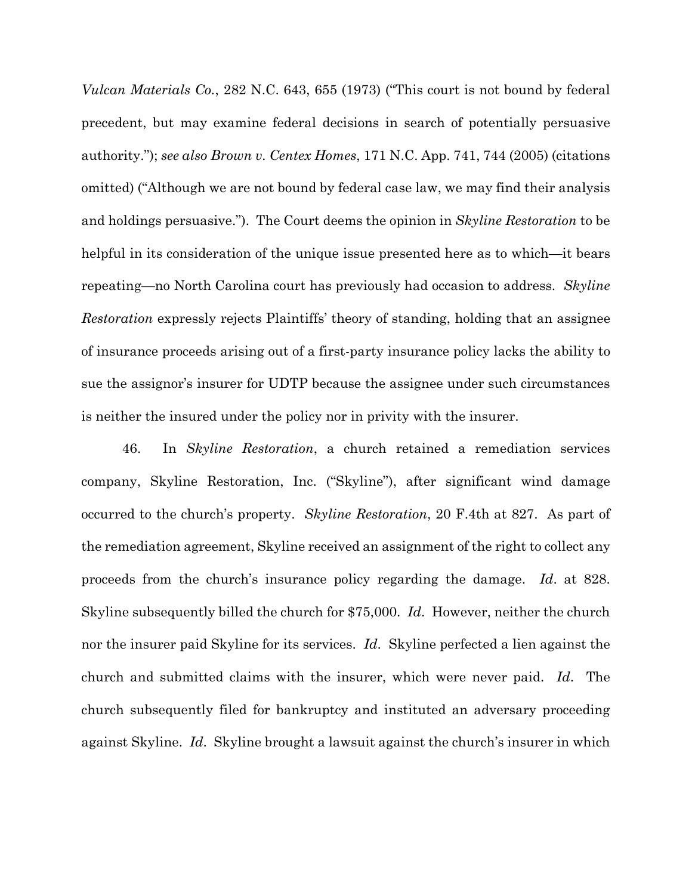*Vulcan Materials Co.*, 282 N.C. 643, 655 (1973) ("This court is not bound by federal precedent, but may examine federal decisions in search of potentially persuasive authority."); *see also Brown v. Centex Homes*, 171 N.C. App. 741, 744 (2005) (citations omitted) ("Although we are not bound by federal case law, we may find their analysis and holdings persuasive."). The Court deems the opinion in *Skyline Restoration* to be helpful in its consideration of the unique issue presented here as to which—it bears repeating—no North Carolina court has previously had occasion to address. *Skyline Restoration* expressly rejects Plaintiffs' theory of standing, holding that an assignee of insurance proceeds arising out of a first-party insurance policy lacks the ability to sue the assignor's insurer for UDTP because the assignee under such circumstances is neither the insured under the policy nor in privity with the insurer.

46. In *Skyline Restoration*, a church retained a remediation services company, Skyline Restoration, Inc. ("Skyline"), after significant wind damage occurred to the church's property. *Skyline Restoration*, 20 F.4th at 827. As part of the remediation agreement, Skyline received an assignment of the right to collect any proceeds from the church's insurance policy regarding the damage. *Id*. at 828. Skyline subsequently billed the church for \$75,000. *Id*. However, neither the church nor the insurer paid Skyline for its services. *Id*. Skyline perfected a lien against the church and submitted claims with the insurer, which were never paid. *Id*. The church subsequently filed for bankruptcy and instituted an adversary proceeding against Skyline. *Id*. Skyline brought a lawsuit against the church's insurer in which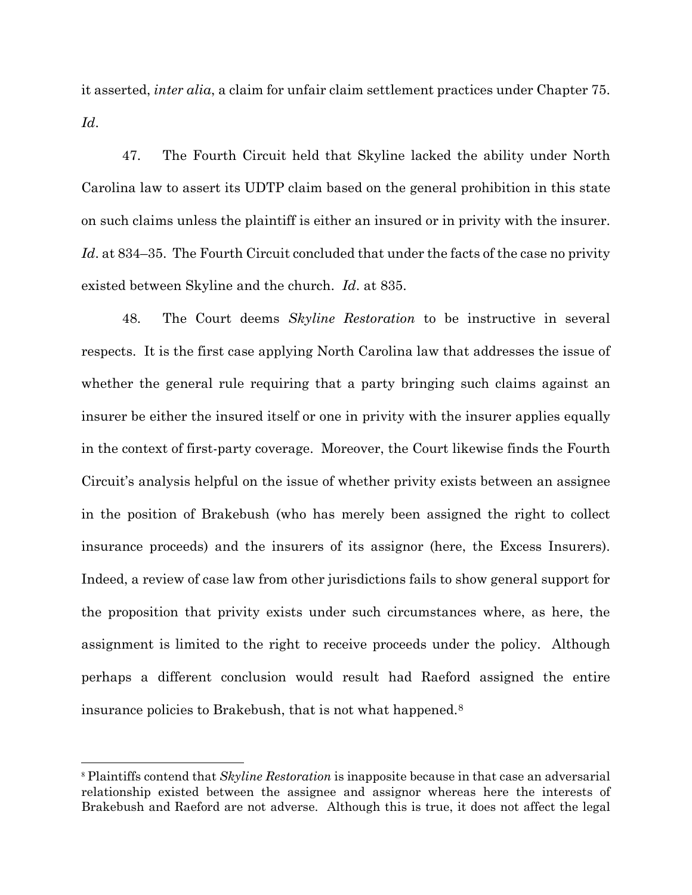it asserted, *inter alia*, a claim for unfair claim settlement practices under Chapter 75. *Id*.

47. The Fourth Circuit held that Skyline lacked the ability under North Carolina law to assert its UDTP claim based on the general prohibition in this state on such claims unless the plaintiff is either an insured or in privity with the insurer. *Id*. at 834–35. The Fourth Circuit concluded that under the facts of the case no privity existed between Skyline and the church. *Id*. at 835.

48. The Court deems *Skyline Restoration* to be instructive in several respects. It is the first case applying North Carolina law that addresses the issue of whether the general rule requiring that a party bringing such claims against an insurer be either the insured itself or one in privity with the insurer applies equally in the context of first-party coverage. Moreover, the Court likewise finds the Fourth Circuit's analysis helpful on the issue of whether privity exists between an assignee in the position of Brakebush (who has merely been assigned the right to collect insurance proceeds) and the insurers of its assignor (here, the Excess Insurers). Indeed, a review of case law from other jurisdictions fails to show general support for the proposition that privity exists under such circumstances where, as here, the assignment is limited to the right to receive proceeds under the policy. Although perhaps a different conclusion would result had Raeford assigned the entire insurance policies to Brakebush, that is not what happened.[8](#page-20-0)

<span id="page-20-0"></span><sup>8</sup> Plaintiffs contend that *Skyline Restoration* is inapposite because in that case an adversarial relationship existed between the assignee and assignor whereas here the interests of Brakebush and Raeford are not adverse. Although this is true, it does not affect the legal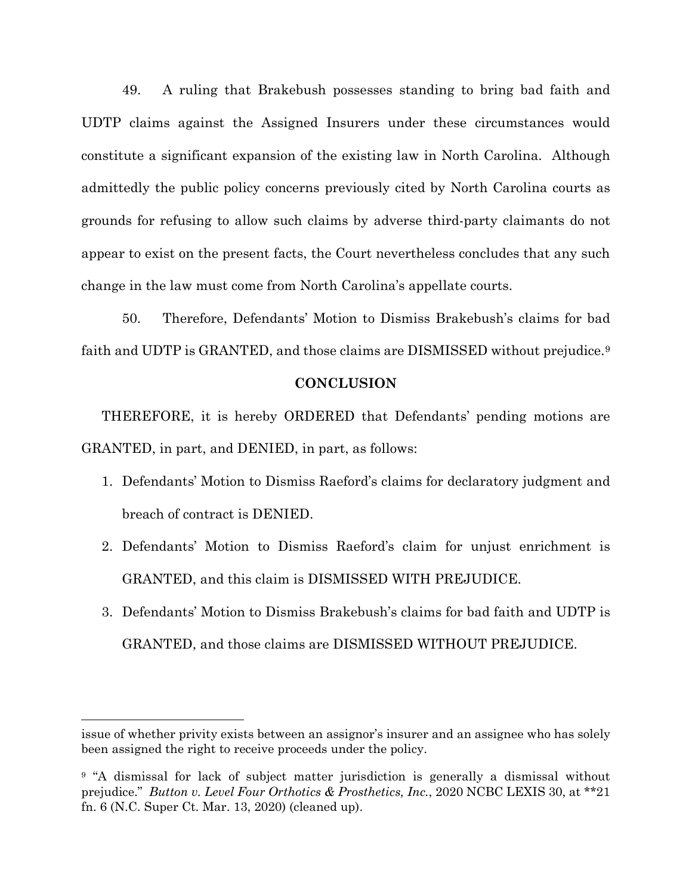49. A ruling that Brakebush possesses standing to bring bad faith and UDTP claims against the Assigned Insurers under these circumstances would constitute a significant expansion of the existing law in North Carolina. Although admittedly the public policy concerns previously cited by North Carolina courts as grounds for refusing to allow such claims by adverse third-party claimants do not appear to exist on the present facts, the Court nevertheless concludes that any such change in the law must come from North Carolina's appellate courts.

50. Therefore, Defendants' Motion to Dismiss Brakebush's claims for bad faith and UDTP is GRANTED, and those claims are DISMISSED without prejudice.[9](#page-21-0)

### **CONCLUSION**

THEREFORE, it is hereby ORDERED that Defendants' pending motions are GRANTED, in part, and DENIED, in part, as follows:

- 1. Defendants' Motion to Dismiss Raeford's claims for declaratory judgment and breach of contract is DENIED.
- 2. Defendants' Motion to Dismiss Raeford's claim for unjust enrichment is GRANTED, and this claim is DISMISSED WITH PREJUDICE.
- 3. Defendants' Motion to Dismiss Brakebush's claims for bad faith and UDTP is GRANTED, and those claims are DISMISSED WITHOUT PREJUDICE.

issue of whether privity exists between an assignor's insurer and an assignee who has solely been assigned the right to receive proceeds under the policy.

<span id="page-21-0"></span><sup>&</sup>lt;sup>9</sup> "A dismissal for lack of subject matter jurisdiction is generally a dismissal without prejudice." *Button v. Level Four Orthotics & Prosthetics, Inc.*, 2020 NCBC LEXIS 30, at \*\*21 fn. 6 (N.C. Super Ct. Mar. 13, 2020) (cleaned up).